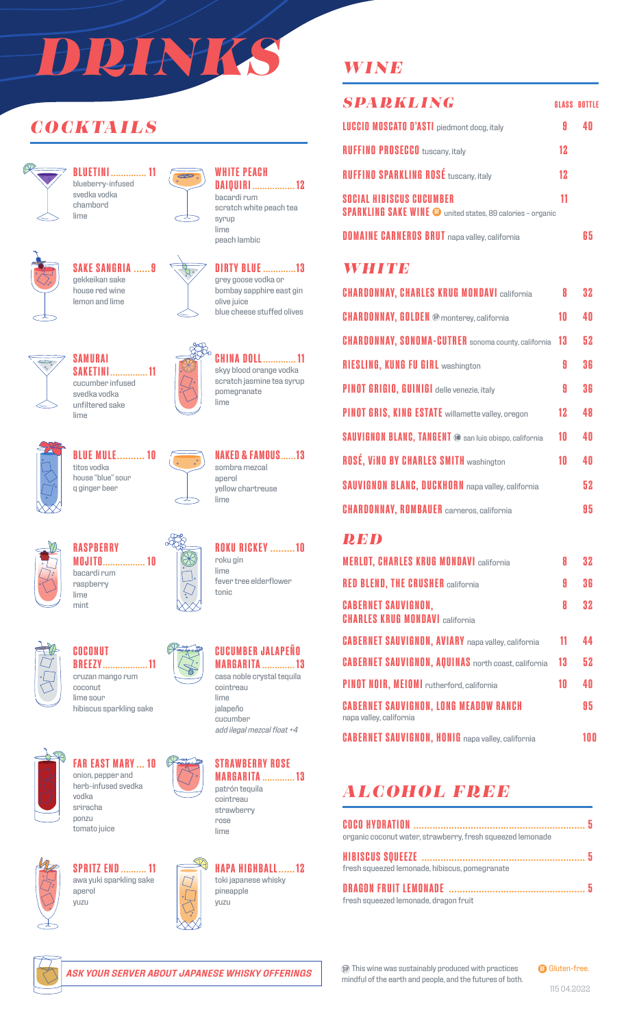# *DRINKS*

## *COCKTAILS*



**BLUETINI .............. 11** blueberry-infused svedka vodka chambord lime



## **SAKE SANGRIA ......9** gekkeikan sake



**SAKETINI............... 11** cucumber infused svedka vodka unfiltered sake



## **WHITE PEACH**

**DAIQUIRI ................. 12** bacardi rum scratch white peach tea syrup lime peach lambic



grey goose vodka or bombay sapphire east gin olive juice blue cheese stuffed olives



 $\infty$ 

**CHINA DOLL............. 11** skyy blood orange vodka scratch jasmine tea syrup pomegranate lime



**BLUE MULE.......... 10** titos vodka house "blue" sour q ginger beer

**SAMURAI**

lime



**NAKED & FAMOUS......13** sombra mezcal anerol yellow chartreuse lime

**ROKU RICKEY .........10**

fever tree elderflower

roku gin lime

tonic



#### **RASPBERRY MOJITO................. 10** bacardi rum raspberry lime mint



**COCONUT BREEZY.................. 11** cruzan mango rum coconut





**FAR EAST MARY ... 10** onion, pepper and herb-infused svedka vodka sriracha ponzu

**SPRITZ END.......... 11** awa yuki sparkling sake

tomato juice

aperol yuzu







cointreau lime *add ilegal mezcal float +4*



**MARGARITA ............. 13** cointreau strawberry rose lime



## *WINE*

| <b>SPARKLING</b>                                                                                     |    | <b>GLASS BOTTLE</b> |
|------------------------------------------------------------------------------------------------------|----|---------------------|
| <b>LUCCIO MOSCATO D'ASTI</b> piedmont docg, italy                                                    | 9  |                     |
| <b>RUFFINO PROSECCO</b> tuscany, italy                                                               | 12 |                     |
| <b>RUFFINO SPARKLING ROSÉ tuscany, italy</b>                                                         | 12 |                     |
| <b>SOCIAL HIBISCUS CUCUMBER</b><br><b>SPARKLING SAKE WINE @</b> united states, 89 calories - organic | 11 |                     |
| <b>DOMAINE CARNEROS BRUT</b> napa valley, california                                                 |    | li h                |

#### *WHITE*

| <b>CHARDONNAY, CHARLES KRUG MONDAVI california</b>            | 8  | 32 |
|---------------------------------------------------------------|----|----|
| <b>CHARDONNAY, GOLDEN @</b> monterey, california              | 10 | 40 |
| <b>CHARDONNAY, SONOMA-CUTRER</b> sonoma county, california    | 13 | 52 |
| <b>RIESLING, KUNG FU GIRL washington</b>                      | 9  | 36 |
| PINOT GRIGIO, GUINIGI delle venezie, italy                    | 9  | 36 |
| PINOT GRIS, KING ESTATE willamette valley, oregon             | 12 | 48 |
| <b>SAUVIGNON BLANC, TANGENT @ san luis obispo, california</b> | 10 | 40 |
| <b>ROSÉ, VINO BY CHARLES SMITH washington</b>                 | 10 | 40 |
| <b>SAUVIGNON BLANC, DUCKHORN</b> napa valley, california      |    | 52 |
| <b>CHARDONNAY, ROMBAUER</b> carneros, california              |    | 95 |

### *RED*

| <b>MERLOT, CHARLES KRUG MONDAVI california</b>                          | 8  | 32  |
|-------------------------------------------------------------------------|----|-----|
| <b>RED BLEND, THE CRUSHER california</b>                                | 9  | 36  |
| <b>CABERNET SAUVIGNON,</b><br><b>CHARLES KRUG MONDAVI california</b>    | 8  | 32  |
| <b>CABERNET SAUVIGNON, AVIARY</b> napa valley, california               | 11 | 44  |
| <b>CABERNET SAUVIGNON, AQUINAS</b> north coast, california              | 13 | 52  |
| PINOT NOIR, MEIOMI rutherford, california                               | 10 | 40  |
| <b>CABERNET SAUVIGNON, LONG MEADOW RANCH</b><br>napa valley, california |    | 95  |
| <b>CABERNET SAUVIGNON, HONIG</b> napa valley, california                |    | 100 |

## *ALCOHOL FREE*

| organic coconut water, strawberry, fresh squeezed lemonade |  |
|------------------------------------------------------------|--|
|                                                            |  |
| fresh squeezed lemonade, hibiscus, pomegranate             |  |
|                                                            |  |
| fresh squeezed lemonade, dragon fruit                      |  |



*ASK YOUR SERVER ABOUT JAPANESE WHISKY OFFERINGS*

This wine was sustainably produced with practices mindful of the earth and people, and the futures of both. **GB** Gluten-free.